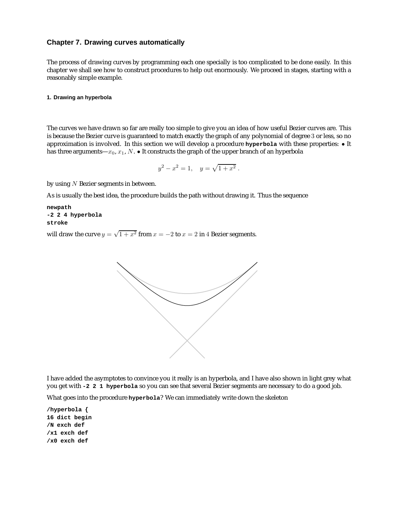# **Chapter 7. Drawing curves automatically**

The process of drawing curves by programming each one specially is too complicated to be done easily. In this chapter we shall see how to construct procedures to help out enormously. We proceed in stages, starting with a reasonably simple example.

## **1. Drawing an hyperbola**

The curves we have drawn so far are really too simple to give you an idea of how useful Bezier curves are. This is because the Bezier curve is guaranteed to match exactly the graph of any polynomial of degree 3 or less, so no approximation is involved. In this section we will develop a procedure **hyperbola** with these properties: • It has three arguments— $x_0, x_1, N$ . • It constructs the graph of the upper branch of an hyperbola

$$
y^2 - x^2 = 1, \quad y = \sqrt{1 + x^2} \ .
$$

by using N Bezier segments in between.

As is usually the best idea, the procedure builds the path without drawing it. Thus the sequence

**newpath -2 2 4 hyperbola stroke**

will draw the curve  $y = \sqrt{1 + x^2}$  from  $x = -2$  to  $x = 2$  in 4 Bezier segments.



I have added the asymptotes to convince you it really is an hyperbola, and I have also shown in light grey what you get with **-2 2 1 hyperbola** so you can see that several Bezier segments are necessary to do a good job.

What goes into the procedure **hyperbola**? We can immediately write down the skeleton

**/hyperbola { 16 dict begin /N exch def /x1 exch def /x0 exch def**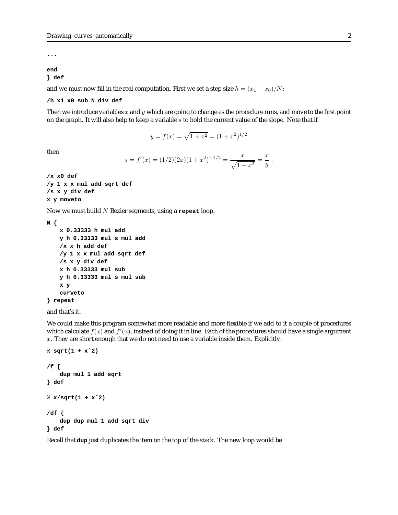**...**

**end**

**} def**

and we must now fill in the real computation. First we set a step size  $h = (x_1 - x_0)/N$ :

### **/h x1 x0 sub N div def**

Then we introduce variables x and y which are going to change as the procedure runs, and move to the first point on the graph. It will also help to keep a variable  $s$  to hold the current value of the slope. Note that if

$$
y = f(x) = \sqrt{1 + x^2} = (1 + x^2)^{1/2}
$$

then

$$
s = f'(x) = (1/2)(2x)(1 + x^2)^{-1/2} = \frac{x}{\sqrt{1 + x^2}} = \frac{x}{y}.
$$

```
/x x0 def
/y 1 x x mul add sqrt def
/s x y div def
x y moveto
```
Now we must build N Bezier segments, using a **repeat** loop.

```
N {
   x 0.33333 h mul add
   y h 0.33333 mul s mul add
   /x x h add def
    /y 1 x x mul add sqrt def
    /s x y div def
   x h 0.33333 mul sub
   y h 0.33333 mul s mul sub
   x y
    curveto
```
# **} repeat**

and that's it.

We could make this program somewhat more readable and more flexible if we add to it a couple of procedures which calculate  $f(x)$  and  $f^\prime(x)$ , instead of doing it in line. Each of the procedures should have a single argument  $x$ . They are short enough that we do not need to use a variable inside them. Explicitly:

```
% sqrt(1 + xˆ2)
/f {
    dup mul 1 add sqrt
} def
% x/sqrt(1 + xˆ2)
/df {
    dup dup mul 1 add sqrt div
} def
```
Recall that **dup** just duplicates the item on the top of the stack. The new loop would be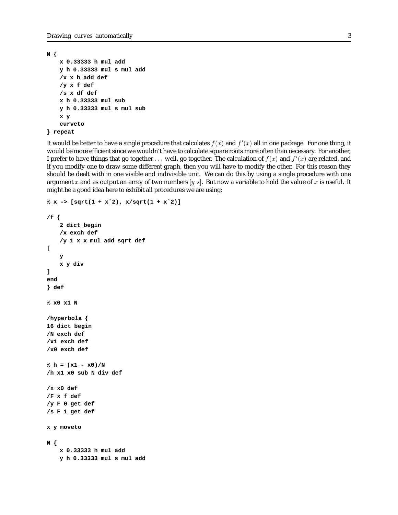```
N {
   x 0.33333 h mul add
   y h 0.33333 mul s mul add
    /x x h add def
    /y x f def
    /s x df def
   x h 0.33333 mul sub
   y h 0.33333 mul s mul sub
   x y
   curveto
} repeat
```
It would be better to have a single procedure that calculates  $f(x)$  and  $f^\prime(x)$  all in one package. For one thing, it would be more efficient since we wouldn't have to calculate square roots more often than necessary. For another, I prefer to have things that go together  $\ldots$  well, go together. The calculation of  $f(x)$  and  $f'(x)$  are related, and if you modify one to draw some different graph, then you will have to modify the other. For this reason they should be dealt with in one visible and indivisible unit. We can do this by using a single procedure with one argument x and as output an array of two numbers  $[y s]$ . But now a variable to hold the value of x is useful. It might be a good idea here to exhibit all procedures we are using:

```
/f {
    2 dict begin
    /x exch def
    /y 1 x x mul add sqrt def
[
    y
    x y div
]
end
} def
% x0 x1 N
/hyperbola {
16 dict begin
/N exch def
/x1 exch def
/x0 exch def
\text{\% h} = (\text{x1} - \text{x0})/\text{N}/h x1 x0 sub N div def
/x x0 def
/F x f def
/y F 0 get def
/s F 1 get def
x y moveto
N {
    x 0.33333 h mul add
    y h 0.33333 mul s mul add
```
**% x -> [sqrt(1 + xˆ2), x/sqrt(1 + xˆ2)]**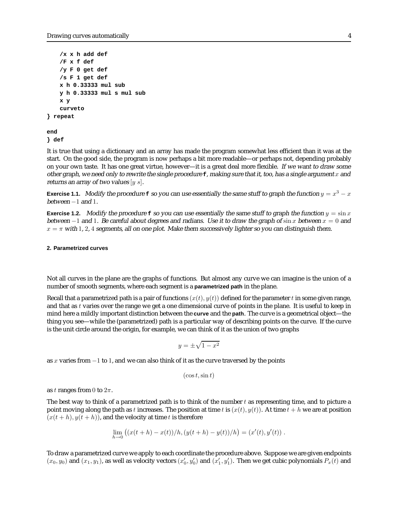```
/x x h add def
   /F x f def
   /y F 0 get def
   /s F 1 get def
   x h 0.33333 mul sub
   y h 0.33333 mul s mul sub
   x y
   curveto
} repeat
```
**end } def**

It is true that using a dictionary and an array has made the program somewhat less efficient than it was at the start. On the good side, the program is now perhaps a bit more readable—or perhaps not, depending probably on your own taste. It has one great virtue, however—it is a great deal more flexible. If we want to draw some other graph, we need only to rewrite the single procedure **f**, making sure that it, too, has <sup>a</sup> single argument x and returns an array of two values  $[y \, s]$ .

**Exercise 1.1.** Modify the procedure **f** so you can use essentially the same stuff to graph the function  $y = x^3 - x$ between  $-1$  and 1.

**Exercise 1.2.** Modify the procedure **f** so you can use essentially the same stuff to graph the function  $y = \sin x$ between  $-1$  and 1. Be careful about degrees and radians. Use it to draw the graph of sin x between  $x = 0$  and  $x = \pi$  with 1, 2, 4 segments, all on one plot. Make them successively lighter so you can distinguish them.

#### **2. Parametrized curves**

Not all curves in the plane are the graphs of functions. But almost any curve we can imagine is the union of a number of smooth segments, where each segment is a **parametrized path** in the plane.

Recall that a parametrized path is a pair of functions  $(x(t), y(t))$  defined for the parameter t in some given range, and that as t varies over the range we get a one dimensional curve of points in the plane. It is useful to keep in mind here a mildly important distinction between the **curve** and the **path**. The curve is a geometrical object—the thing you see—while the (parametrized) path is a particular way of describing points on the curve. If the curve is the unit circle around the origin, for example, we can think of it as the union of two graphs

$$
y = \pm \sqrt{1 - x^2}
$$

as x varies from  $-1$  to 1, and we can also think of it as the curve traversed by the points

$$
(\cos t, \sin t)
$$

as t ranges from 0 to  $2\pi$ .

The best way to think of a parametrized path is to think of the number  $t$  as representing time, and to picture a point moving along the path as t increases. The position at time t is  $(x(t), y(t))$ . At time  $t + h$  we are at position  $(x(t+h), y(t+h))$ , and the velocity at time t is therefore

$$
\lim_{h \to 0} ((x(t+h) - x(t))/h, (y(t+h) - y(t))/h) = (x'(t), y'(t)).
$$

To draw a parametrized curve we apply to each coordinate the procedure above. Suppose we are given endpoints  $(x_0, y_0)$  and  $(x_1, y_1)$ , as well as velocity vectors  $(x'_0, y'_0)$  and  $(x'_1, y'_1)$ . Then we get cubic polynomials  $P_x(t)$  and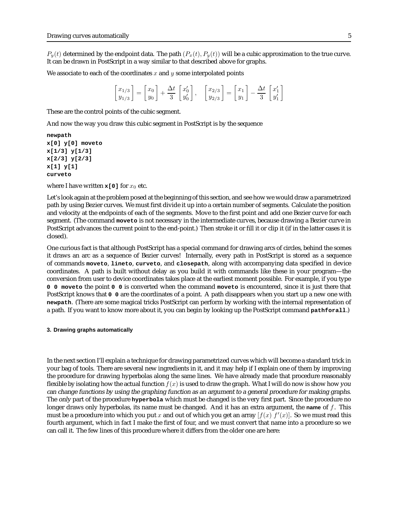$P_y(t)$  determined by the endpoint data. The path  $(P_x(t), P_y(t))$  will be a cubic approximation to the true curve. It can be drawn in PostScript in a way similar to that described above for graphs.

We associate to each of the coordinates x and y some interpolated points

| $\begin{bmatrix} x_{1/3} \\ y_{1/3} \end{bmatrix} = \begin{bmatrix} x_0 \\ y_0 \end{bmatrix} + \frac{\Delta t}{3} \begin{bmatrix} x'_0 \\ y'_0 \end{bmatrix}$ |  | $\left[ \begin{matrix} x_{2/3} \\ y_{2/3} \end{matrix} \right] = \left[ \begin{matrix} x_1 \\ y_1 \end{matrix} \right] - \frac{\Delta t}{3} \left[ \begin{matrix} x_1' \\ y_1' \end{matrix} \right]$ |  |  |
|---------------------------------------------------------------------------------------------------------------------------------------------------------------|--|------------------------------------------------------------------------------------------------------------------------------------------------------------------------------------------------------|--|--|
|                                                                                                                                                               |  |                                                                                                                                                                                                      |  |  |

These are the control points of the cubic segment.

And now the way you draw this cubic segment in PostScript is by the sequence

**newpath x[0] y[0] moveto x[1/3] y[1/3] x[2/3] y[2/3] x[1] y[1] curveto**

where I have written  $\mathbf{x}$ [0] for  $x_0$  etc.

Let's look again at the problem posed at the beginning of this section, and see how we would draw a parametrized path by using Bezier curves. We must first divide it up into a certain number of segments. Calculate the position and velocity at the endpoints of each of the segments. Move to the first point and add one Bezier curve for each segment. (The command **moveto** is not necessary in the intermediate curves, because drawing a Bezier curve in PostScript advances the current point to the end-point.) Then stroke it or fill it or clip it (if in the latter cases it is closed).

One curious fact is that although PostScript has a special command for drawing arcs of circles, behind the scenes it draws an arc as a sequence of Bezier curves! Internally, every path in PostScript is stored as a sequence of commands **moveto**, **lineto**, **curveto**, and **closepath**, along with accompanying data specified in device coordinates. A path is built without delay as you build it with commands like these in your program—the conversion from user to device coordinates takes place at the earliest moment possible. For example, if you type **0 0 moveto** the point **0 0** is converted when the command **moveto** is encountered, since it is just there that PostScript knows that **0 0** are the coordinates of a point. A path disappears when you start up a new one with **newpath**. (There are some magical tricks PostScript can perform by working with the internal representation of a path. If you want to know more about it, you can begin by looking up the PostScript command **pathforall**.)

#### **3. Drawing graphs automatically**

In the next section I'll explain a technique for drawing parametrized curves which will become a standard trick in your bag of tools. There are several new ingredients in it, and it may help if I explain one of them by improving the procedure for drawing hyperbolas along the same lines. We have already made that procedure reasonably flexible by isolating how the actual function  $f(x)$  is used to draw the graph. What I will do now is show how you can change functions by using the graphing function as an argument to <sup>a</sup> general procedure for making graphs. The only part of the procedure **hyperbola** which must be changed is the very first part. Since the procedure no longer draws only hyperbolas, its name must be changed. And it has an extra argument, the **name** of f. This must be a procedure into which you put  $x$  and out of which you get an array  $[f(x)\ f'(x)].$  So we must read this fourth argument, which in fact I make the first of four, and we must convert that name into a procedure so we can call it. The few lines of this procedure where it differs from the older one are here: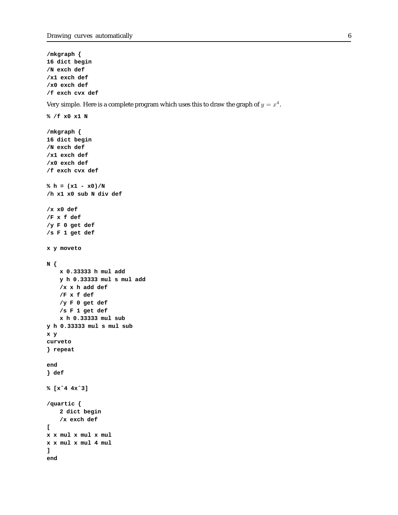```
/mkgraph {
16 dict begin
/N exch def
/x1 exch def
/x0 exch def
/f exch cvx def
Very simple. Here is a complete program which uses this to draw the graph of y = x^4.
% /f x0 x1 N
/mkgraph {
16 dict begin
/N exch def
/x1 exch def
/x0 exch def
/f exch cvx def
% h = (x1 - x0)/N
/h x1 x0 sub N div def
/x x0 def
/F x f def
/y F 0 get def
/s F 1 get def
x y moveto
N {
   x 0.33333 h mul add
   y h 0.33333 mul s mul add
   /x x h add def
   /F x f def
   /y F 0 get def
   /s F 1 get def
   x h 0.33333 mul sub
y h 0.33333 mul s mul sub
x y
curveto
} repeat
end
} def
% [xˆ4 4xˆ3]
/quartic {
    2 dict begin
    /x exch def
[
x x mul x mul x mul
x x mul x mul 4 mul
]
end
```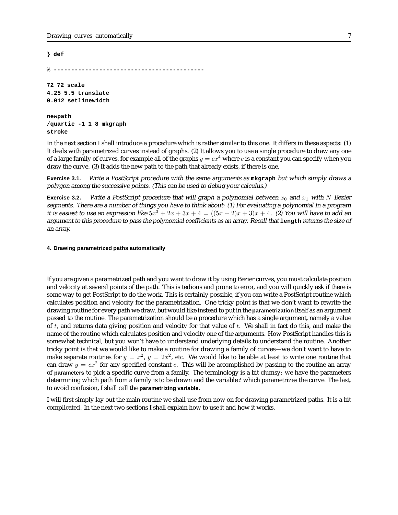**} def % ------------------------------------------- 72 72 scale 4.25 5.5 translate 0.012 setlinewidth**

**newpath /quartic -1 1 8 mkgraph stroke**

In the next section I shall introduce a procedure which is rather similar to this one. It differs in these aspects: (1) It deals with parametrized curves instead of graphs. (2) It allows you to use a single procedure to draw any one of a large family of curves, for example all of the graphs  $y = cx^4$  where c is a constant you can specify when you draw the curve. (3) It adds the new path to the path that already exists, if there is one.

**Exercise 3.1.** Write <sup>a</sup> PostScript procedure with the same arguments as **mkgraph** but which simply draws <sup>a</sup> polygon among the successive points. (This can be used to debug your calculus.)

**Exercise 3.2.** Write a PostScript procedure that will graph a polynomial between  $x_0$  and  $x_1$  with N Bezier segments. There are <sup>a</sup> number of things you have to think about: (1) For evaluating <sup>a</sup> polynomial in <sup>a</sup> program it is easiest to use an expression like  $5x^3 + 2x + 3x + 4 = ((5x + 2)x + 3)x + 4$ . (2) You will have to add an argument to this procedure to pass the polynomial coefficients as an array. Recall that **length** returns the size of an array.

#### **4. Drawing parametrized paths automatically**

If you are given a parametrized path and you want to draw it by using Bezier curves, you must calculate position and velocity at several points of the path. This is tedious and prone to error, and you will quickly ask if there is some way to get PostScript to do the work. This is certainly possible, if you can write a PostScript routine which calculates position and velocity for the parametrization. One tricky point is that we don't want to rewrite the drawing routine for every path we draw, but would like instead to put in the **parametrization** itself as an argument passed to the routine. The parametrization should be a procedure which has a single argument, namely a value of t, and returns data giving position and velocity for that value of t. We shall in fact do this, and make the name of the routine which calculates position and velocity one of the arguments. How PostScript handles this is somewhat technical, but you won't have to understand underlying details to understand the routine. Another tricky point is that we would like to make a routine for drawing a family of curves—we don't want to have to make separate routines for  $y = x^2$ ,  $y = 2x^2$ , etc. We would like to be able at least to write one routine that can draw  $y = cx^2$  for any specified constant c. This will be accomplished by passing to the routine an array of **parameters** to pick a specific curve from a family. The terminology is a bit clumsy: we have the parameters determining which path from a family is to be drawn and the variable  $t$  which parametrizes the curve. The last, to avoid confusion, I shall call the **parametrizing variable**.

I will first simply lay out the main routine we shall use from now on for drawing parametrized paths. It is a bit complicated. In the next two sections I shall explain how to use it and how it works.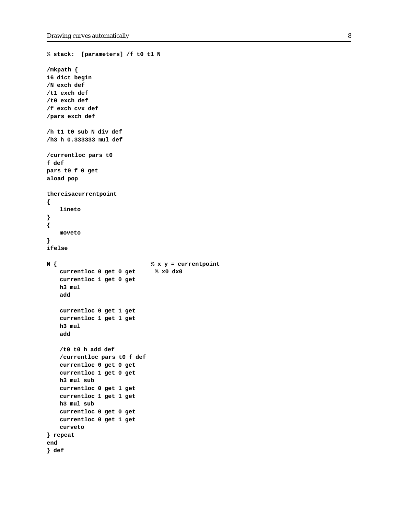```
% stack: [parameters] /f t0 t1 N
/mkpath {
16 dict begin
/N exch def
/t1 exch def
/t0 exch def
/f exch cvx def
/pars exch def
/h t1 t0 sub N div def
/h3 h 0.333333 mul def
/currentloc pars t0
f def
pars t0 f 0 get
aload pop
thereisacurrentpoint
{
   lineto
}
{
   moveto
}
ifelse
N { % x y = currentpoint
   currentloc 0 get 0 get % x0 dx0
   currentloc 1 get 0 get
   h3 mul
   add
   currentloc 0 get 1 get
   currentloc 1 get 1 get
   h3 mul
   add
   /t0 t0 h add def
   /currentloc pars t0 f def
   currentloc 0 get 0 get
   currentloc 1 get 0 get
   h3 mul sub
   currentloc 0 get 1 get
   currentloc 1 get 1 get
   h3 mul sub
   currentloc 0 get 0 get
   currentloc 0 get 1 get
   curveto
} repeat
end
} def
```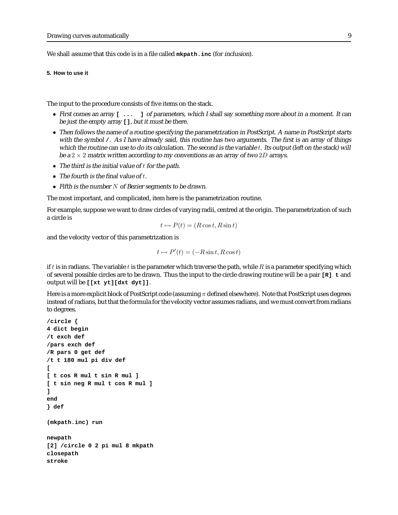We shall assume that this code is in a file called **mkpath.inc** (for inclusion).

#### **5. How to use it**

The input to the procedure consists of five items on the stack.

- First comes an array **[ ...** ] of parameters, which I shall say something more about in a moment. It can be just the empty array **[]**, but it must be there.
- Then follows the name of a routine specifying the parametrization in PostScript. A name in PostScript starts with the symbol  $\ell$ . As I have already said, this routine has two arguments. The first is an array of things which the routine can use to do its calculation. The second is the variable t. Its output (left on the stack) will be a  $2 \times 2$  matrix written according to my conventions as an array of two  $2D$  arrays.
- The third is the initial value of  $t$  for the path.
- The fourth is the final value of  $t$ .
- Fifth is the number  $N$  of Bezier segments to be drawn.

The most important, and complicated, item here is the parametrization routine.

For example, suppose we want to draw circles of varying radii, centred at the origin. The parametrization of such a circle is

$$
t \mapsto P(t) = (R\cos t, R\sin t)
$$

and the velocity vector of this parametrization is

$$
t \mapsto P'(t) = (-R\sin t, R\cos t)
$$

if t is in radians. The variable t is the parameter which traverse the path, while  $R$  is a parameter specifying which of several possible circles are to be drawn. Thus the input to the circle drawing routine will be a pair **[R] t** and output will be **[[xt yt][dxt dyt]]**.

Here is a more explicit block of PostScript code (assuming  $\pi$  defined elsewhere). Note that PostScript uses degrees instead of radians, but that the formula for the velocity vector assumes radians, and we must convert from radians to degrees.

```
/circle {
4 dict begin
/t exch def
/pars exch def
/R pars 0 get def
/t t 180 mul pi div def
[
[ t cos R mul t sin R mul ]
[ t sin neg R mul t cos R mul ]
]
end
} def
(mkpath.inc) run
newpath
[2] /circle 0 2 pi mul 8 mkpath
closepath
stroke
```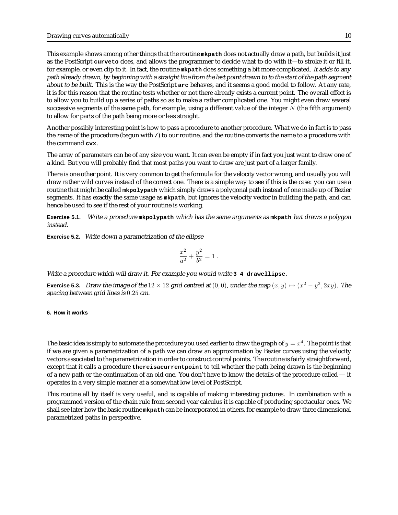This example shows among other things that the routine **mkpath** does not actually draw a path, but builds it just as the PostScript **curveto** does, and allows the programmer to decide what to do with it—to stroke it or fill it, for example, or even clip to it. In fact, the routine **mkpath** does something a bit more complicated. It adds to any path already drawn, by beginning with <sup>a</sup> straight line from the last point drawn to to the start of the path segment about to be built. This is the way the PostScript **arc** behaves, and it seems a good model to follow. At any rate, it is for this reason that the routine tests whether or not there already exists a current point. The overall effect is to allow you to build up a series of paths so as to make a rather complicated one. You might even draw several successive segments of the same path, for example, using a different value of the integer  $N$  (the fifth argument) to allow for parts of the path being more or less straight.

Another possibly interesting point is how to pass a procedure to another procedure. What we do in fact is to pass the name of the procedure (begun with **/**) to our routine, and the routine converts the name to a procedure with the command **cvx**.

The array of parameters can be of any size you want. It can even be empty if in fact you just want to draw one of a kind. But you will probably find that most paths you want to draw are just part of a larger family.

There is one other point. It is very common to get the formula for the velocity vector wrong, and usually you will draw rather wild curves instead of the correct one. There is a simple way to see if this is the case: you can use a routine that might be called **mkpolypath** which simply draws a polygonal path instead of one made up of Bezier segments. It has exactly the same usage as **mkpath**, but ignores the velocity vector in building the path, and can hence be used to see if the rest of your routine is working.

**Exercise 5.1.** Write <sup>a</sup> procedure **mkpolypath** which has the same arguments as **mkpath** but draws <sup>a</sup> polygon instead.

**Exercise 5.2.** Write down <sup>a</sup> parametrization of the ellipse

$$
\frac{x^2}{a^2} + \frac{y^2}{b^2} = 1 \; .
$$

Write <sup>a</sup> procedure which will draw it. For example you would write **3 4 drawellipse**.

**Exercise 5.3.** Draw the image of the  $12 \times 12$  grid centred at  $(0,0)$ , under the map  $(x, y) \mapsto (x^2 - y^2, 2xy)$ . The spacing between grid lines is 0.25 cm.

#### **6. How it works**

The basic idea is simply to automate the procedure you used earlier to draw the graph of  $y = x^4$ . The point is that if we are given a parametrization of a path we can draw an approximation by Bezier curves using the velocity vectors associated to the parametrization in order to construct control points. The routine is fairly straightforward, except that it calls a procedure **thereisacurrentpoint** to tell whether the path being drawn is the beginning of a new path or the continuation of an old one. You don't have to know the details of the procedure called — it operates in a very simple manner at a somewhat low level of PostScript.

This routine all by itself is very useful, and is capable of making interesting pictures. In combination with a programmed version of the chain rule from second year calculus it is capable of producing spectacular ones. We shall see later how the basic routine **mkpath** can be incorporated in others, for example to draw three dimensional parametrized paths in perspective.